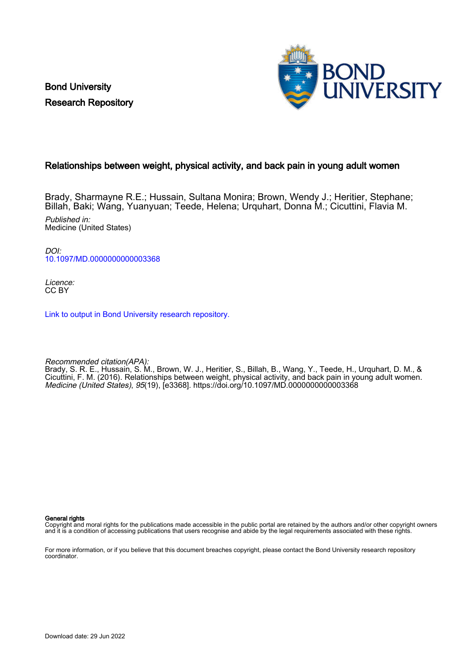Bond University Research Repository



# Relationships between weight, physical activity, and back pain in young adult women

Brady, Sharmayne R.E.; Hussain, Sultana Monira; Brown, Wendy J.; Heritier, Stephane; Billah, Baki; Wang, Yuanyuan; Teede, Helena; Urquhart, Donna M.; Cicuttini, Flavia M. Published in: Medicine (United States)

 $D$  $O$ [10.1097/MD.0000000000003368](https://doi.org/10.1097/MD.0000000000003368)

Licence: CC BY

[Link to output in Bond University research repository.](https://research.bond.edu.au/en/publications/3307d159-ef58-4e2f-98bb-83b763569613)

Recommended citation(APA):

Brady, S. R. E., Hussain, S. M., Brown, W. J., Heritier, S., Billah, B., Wang, Y., Teede, H., Urquhart, D. M., & Cicuttini, F. M. (2016). Relationships between weight, physical activity, and back pain in young adult women. Medicine (United States), 95(19), [e3368].<https://doi.org/10.1097/MD.0000000000003368>

General rights

Copyright and moral rights for the publications made accessible in the public portal are retained by the authors and/or other copyright owners and it is a condition of accessing publications that users recognise and abide by the legal requirements associated with these rights.

For more information, or if you believe that this document breaches copyright, please contact the Bond University research repository coordinator.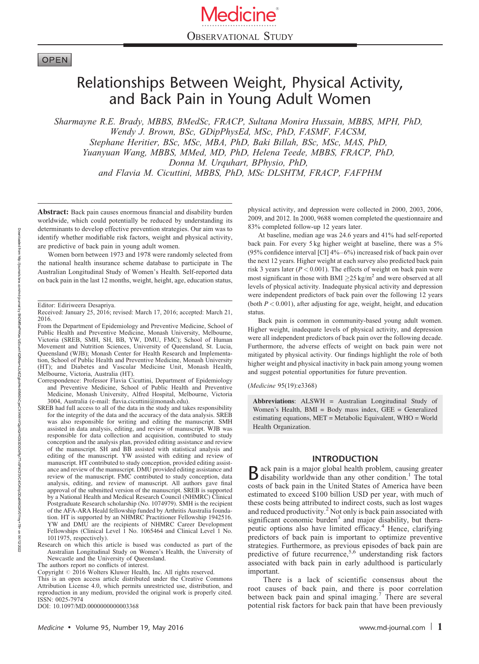# **OPEN**

# Relationships Between Weight, Physical Activity, and Back Pain in Young Adult Women

Sharmayne R.E. Brady, MBBS, BMedSc, FRACP, Sultana Monira Hussain, MBBS, MPH, PhD, Wendy J. Brown, BSc, GDipPhysEd, MSc, PhD, FASMF, FACSM, Stephane Heritier, BSc, MSc, MBA, PhD, Baki Billah, BSc, MSc, MAS, PhD, Yuanyuan Wang, MBBS, MMed, MD, PhD, Helena Teede, MBBS, FRACP, PhD, Donna M. Urquhart, BPhysio, PhD, and Flavia M. Cicuttini, MBBS, PhD, MSc DLSHTM, FRACP, FAFPHM

Abstract: Back pain causes enormous financial and disability burden worldwide, which could potentially be reduced by understanding its determinants to develop effective prevention strategies. Our aim was to identify whether modifiable risk factors, weight and physical activity, are predictive of back pain in young adult women.

Women born between 1973 and 1978 were randomly selected from the national health insurance scheme database to participate in The Australian Longitudinal Study of Women's Health. Self-reported data on back pain in the last 12 months, weight, height, age, education status,

- Correspondence: Professor Flavia Cicuttini, Department of Epidemiology and Preventive Medicine, School of Public Health and Preventive Medicine, Monash University, Alfred Hospital, Melbourne, Victoria 3004, Australia (e-mail: flavia.cicuttini@monash.edu).
- SREB had full access to all of the data in the study and takes responsibility for the integrity of the data and the accuracy of the data analysis. SREB was also responsible for writing and editing the manuscript. SMH assisted in data analysis, editing, and review of manuscript. WJB was responsible for data collection and acquisition, contributed to study conception and the analysis plan, provided editing assistance and review of the manuscript. SH and BB assisted with statistical analysis and editing of the manuscript. YW assisted with editing and review of manuscript. HT contributed to study conception, provided editing assistance and review of the manuscript. DMU provided editing assistance and review of the manuscript. FMC contributed to study conception, data analysis, editing, and review of manuscript. All authors gave final approval of the submitted version of the manuscript. SREB is supported by a National Health and Medical Research Council (NHMRC) Clinical Postgraduate Research scholarship (No. 1074979). SMH is the recipient of the AFA-ARA Heald fellowship funded by Arthritis Australia foundation. HT is supported by an NHMRC Practitioner Fellowship 1942516. YW and DMU are the recipients of NHMRC Career Development Fellowships (Clinical Level 1 No. 1065464 and Clinical Level 1 No. 1011975, respectively).
- Research on which this article is based was conducted as part of the Australian Longitudinal Study on Women's Health, the University of Newcastle and the University of Queensland.

The authors report no conflicts of interest.

This is an open access article distributed under the Creative Commons Attribution License 4.0, which permits unrestricted use, distribution, and reproduction in any medium, provided the original work is properly cited. ISSN: 0025-7974

DOI: [10.1097/MD.0000000000003368](http://dx.doi.org/10.1097/MD.0000000000003368)

physical activity, and depression were collected in 2000, 2003, 2006, 2009, and 2012. In 2000, 9688 women completed the questionnaire and 83% completed follow-up 12 years later.

At baseline, median age was 24.6 years and 41% had self-reported back pain. For every 5 kg higher weight at baseline, there was a 5% (95% confidence interval [CI]  $4\% - 6\%$ ) increased risk of back pain over the next 12 years. Higher weight at each survey also predicted back pain risk 3 years later ( $P < 0.001$ ). The effects of weight on back pain were most significant in those with BMI  $\geq$ 25 kg/m<sup>2</sup> and were observed at all levels of physical activity. Inadequate physical activity and depression were independent predictors of back pain over the following 12 years (both  $P < 0.001$ ), after adjusting for age, weight, height, and education status.

Back pain is common in community-based young adult women. Higher weight, inadequate levels of physical activity, and depression were all independent predictors of back pain over the following decade. Furthermore, the adverse effects of weight on back pain were not mitigated by physical activity. Our findings highlight the role of both higher weight and physical inactivity in back pain among young women and suggest potential opportunities for future prevention.

(Medicine 95(19):e3368)

Abbreviations: ALSWH = Australian Longitudinal Study of Women's Health, BMI = Body mass index, GEE = Generalized estimating equations, MET = Metabolic Equivalent, WHO = World Health Organization.

# INTRODUCTION

**B** ack pain is a major global health problem, causing greater disability worldwide than any other condition.<sup>1</sup> The total costs of back pain in the United States of America have been estimated to exceed \$100 billion USD per year, with much of these costs being attributed to indirect costs, such as lost wages and reduced productivity.<sup>2</sup> Not only is back pain associated with significant economic burden<sup>3</sup> and major disability, but therapeutic options also have limited efficacy.<sup>4</sup> Hence, clarifying predictors of back pain is important to optimize preventive strategies. Furthermore, as previous episodes of back pain are predictive of future recurrence,<sup>5,6</sup> understanding risk factors associated with back pain in early adulthood is particularly important.

There is a lack of scientific consensus about the root causes of back pain, and there is poor correlation between back pain and spinal imaging.<sup>7</sup> There are several potential risk factors for back pain that have been previously

Editor: Ediriweera Desapriya.

Received: January 25, 2016; revised: March 17, 2016; accepted: March 21, 2016.

From the Department of Epidemiology and Preventive Medicine, School of Public Health and Preventive Medicine, Monash University, Melbourne, Victoria (SREB, SMH, SH, BB, YW, DMU, FMC); School of Human Movement and Nutrition Sciences, University of Queensland, St. Lucia, Queensland (WJB); Monash Center for Health Research and Implementation, School of Public Health and Preventive Medicine, Monash University (HT); and Diabetes and Vascular Medicine Unit, Monash Health, Melbourne, Victoria, Australia (HT).

Copyright © 2016 Wolters Kluwer Health, Inc. All rights reserved.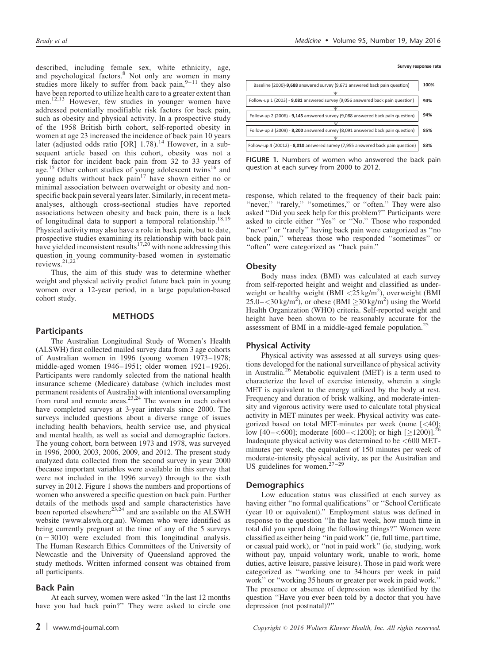described, including female sex, white ethnicity, age, and psychological factors.<sup>8</sup> Not only are women in many studies more likely to suffer from back pain,  $9-11$  they also have been reported to utilize health care to a greater extent than men.12,13 However, few studies in younger women have addressed potentially modifiable risk factors for back pain, such as obesity and physical activity. In a prospective study of the 1958 British birth cohort, self-reported obesity in women at age 23 increased the incidence of back pain 10 years later (adjusted odds ratio [OR] 1.78).<sup>14</sup> However, in a subsequent article based on this cohort, obesity was not a risk factor for incident back pain from 32 to 33 years of age.<sup>15</sup> Other cohort studies of young adolescent twins<sup>16</sup> and young adults without back pain<sup>17</sup> have shown either no or minimal association between overweight or obesity and nonspecific back pain several years later. Similarly, in recent metaanalyses, although cross-sectional studies have reported associations between obesity and back pain, there is a lack of longitudinal data to support a temporal relationship.<sup>18,19</sup> Physical activity may also have a role in back pain, but to date,

prospective studies examining its relationship with back pain have yielded inconsistent results<sup>17,20</sup> with none addressing this question in young community-based women in systematic<br>reviews.<sup>21,22</sup>

Thus, the aim of this study was to determine whether weight and physical activity predict future back pain in young women over a 12-year period, in a large population-based cohort study.

# METHODS

## **Participants**

The Australian Longitudinal Study of Women's Health (ALSWH) first collected mailed survey data from 3 age cohorts of Australian women in 1996 (young women 1973–1978; middle-aged women 1946–1951; older women 1921–1926). Participants were randomly selected from the national health insurance scheme (Medicare) database (which includes most permanent residents of Australia) with intentional oversampling from rural and remote areas.<sup>23,24</sup> The women in each cohort have completed surveys at 3-year intervals since 2000. The surveys included questions about a diverse range of issues including health behaviors, health service use, and physical and mental health, as well as social and demographic factors. The young cohort, born between 1973 and 1978, was surveyed in 1996, 2000, 2003, 2006, 2009, and 2012. The present study analyzed data collected from the second survey in year 2000 (because important variables were available in this survey that were not included in the 1996 survey) through to the sixth survey in 2012. Figure 1 shows the numbers and proportions of women who answered a specific question on back pain. Further details of the methods used and sample characteristics have<br>been reported elsewhere<sup>23,24</sup> and are available on the ALSWH website ([www.alswh.org.au\)](http://www.alswh.org.au/). Women who were identified as being currently pregnant at the time of any of the 5 surveys  $(n = 3010)$  were excluded from this longitudinal analysis. The Human Research Ethics Committees of the University of Newcastle and the University of Queensland approved the study methods. Written informed consent was obtained from all participants.

## Back Pain

At each survey, women were asked ''In the last 12 months have you had back pain?'' They were asked to circle one



FIGURE 1. Numbers of women who answered the back pain question at each survey from 2000 to 2012.

response, which related to the frequency of their back pain: "never," "rarely," "sometimes," or "often." They were also asked ''Did you seek help for this problem?'' Participants were asked to circle either ''Yes'' or ''No.'' Those who responded "never" or "rarely" having back pain were categorized as "no back pain,'' whereas those who responded ''sometimes'' or ''often'' were categorized as ''back pain.''

### **Obesity**

Body mass index (BMI) was calculated at each survey from self-reported height and weight and classified as underweight or healthy weight (BMI <25 kg/m<sup>2</sup>), overweight (BMI  $25.0 - \langle 30 \text{ kg/m}^2 \rangle$ , or obese (BMI  $\geq 30 \text{ kg/m}^2$ ) using the World Health Organization (WHO) criteria. Self-reported weight and height have been shown to be reasonably accurate for the assessment of BMI in a middle-aged female population.<sup>2</sup>

# Physical Activity

Physical activity was assessed at all surveys using questions developed for the national surveillance of physical activity in Australia.<sup>26</sup> Metabolic equivalent (MET) is a term used to characterize the level of exercise intensity, wherein a single MET is equivalent to the energy utilized by the body at rest. Frequency and duration of brisk walking, and moderate-intensity and vigorous activity were used to calculate total physical activity in MET minutes per week. Physical activity was categorized based on total MET minutes per week (none  $[<]40]$ ; low [40–<600]; moderate [600–<1200]; or high [ $\geq$ 1200)].<sup>26</sup> Inadequate physical activity was determined to be  $<600$  METminutes per week, the equivalent of 150 minutes per week of moderate-intensity physical activity, as per the Australian and US guidelines for women. $27-29$ 

#### **Demographics**

Low education status was classified at each survey as having either ''no formal qualifications'' or ''School Certificate (year 10 or equivalent).'' Employment status was defined in response to the question ''In the last week, how much time in total did you spend doing the following things?'' Women were classified as either being ''in paid work'' (ie, full time, part time, or casual paid work), or ''not in paid work'' (ie, studying, work without pay, unpaid voluntary work, unable to work, home duties, active leisure, passive leisure). Those in paid work were categorized as ''working one to 34 hours per week in paid work'' or ''working 35 hours or greater per week in paid work.'' The presence or absence of depression was identified by the question ''Have you ever been told by a doctor that you have depression (not postnatal)?''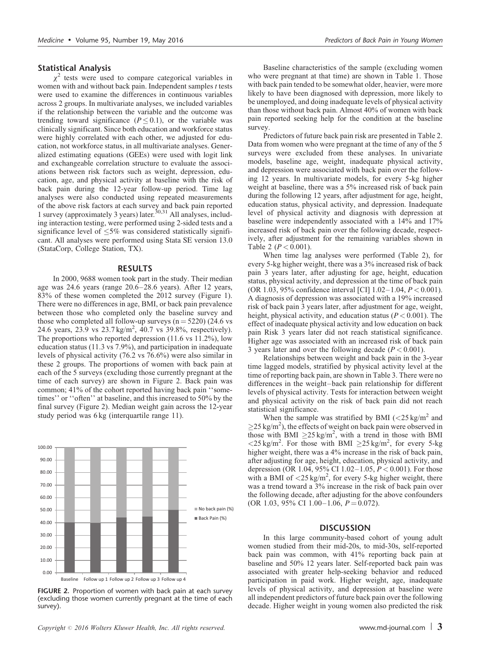## Statistical Analysis

 $\chi^2$  tests were used to compare categorical variables in women with and without back pain. Independent samples  $t$  tests were used to examine the differences in continuous variables across 2 groups. In multivariate analyses, we included variables if the relationship between the variable and the outcome was trending toward significance ( $P \le 0.1$ ), or the variable was clinically significant. Since both education and workforce status were highly correlated with each other, we adjusted for education, not workforce status, in all multivariate analyses. Generalized estimating equations (GEEs) were used with logit link and exchangeable correlation structure to evaluate the associations between risk factors such as weight, depression, education, age, and physical activity at baseline with the risk of back pain during the 12-year follow-up period. Time lag analyses were also conducted using repeated measurements of the above risk factors at each survey and back pain reported 1 survey (approximately 3 years) later.  $30,31$  All analyses, including interaction testing, were performed using 2-sided tests and a significance level of  $\leq 5\%$  was considered statistically significant. All analyses were performed using Stata SE version 13.0 (StataCorp, College Station, TX).

# RESULTS

In 2000, 9688 women took part in the study. Their median age was 24.6 years (range 20.6–28.6 years). After 12 years, 83% of these women completed the 2012 survey (Figure 1). There were no differences in age, BMI, or back pain prevalence between those who completed only the baseline survey and those who completed all follow-up surveys  $(n = 5220)$  (24.6 vs 24.6 years, 23.9 vs 23.7 kg/m<sup>2</sup>, 40.7 vs 39.8%, respectively). The proportions who reported depression (11.6 vs 11.2%), low education status (11.3 vs 7.9%), and participation in inadequate levels of physical activity (76.2 vs 76.6%) were also similar in these 2 groups. The proportions of women with back pain at each of the 5 surveys (excluding those currently pregnant at the time of each survey) are shown in Figure 2. Back pain was common; 41% of the cohort reported having back pain ''sometimes'' or ''often'' at baseline, and this increased to 50% by the final survey (Figure 2). Median weight gain across the 12-year study period was 6 kg (interquartile range 11).



FIGURE 2. Proportion of women with back pain at each survey (excluding those women currently pregnant at the time of each survey).

Baseline characteristics of the sample (excluding women who were pregnant at that time) are shown in Table 1. Those with back pain tended to be somewhat older, heavier, were more likely to have been diagnosed with depression, more likely to be unemployed, and doing inadequate levels of physical activity than those without back pain. Almost 40% of women with back pain reported seeking help for the condition at the baseline survey.

Predictors of future back pain risk are presented in Table 2. Data from women who were pregnant at the time of any of the 5 surveys were excluded from these analyses. In univariate models, baseline age, weight, inadequate physical activity, and depression were associated with back pain over the following 12 years. In multivariate models, for every 5-kg higher weight at baseline, there was a 5% increased risk of back pain during the following 12 years, after adjustment for age, height, education status, physical activity, and depression. Inadequate level of physical activity and diagnosis with depression at baseline were independently associated with a 14% and 17% increased risk of back pain over the following decade, respectively, after adjustment for the remaining variables shown in Table 2 ( $P < 0.001$ ).

When time lag analyses were performed (Table 2), for every 5-kg higher weight, there was a 3% increased risk of back pain 3 years later, after adjusting for age, height, education status, physical activity, and depression at the time of back pain (OR 1.03, 95% confidence interval [CI]  $1.02-1.04$ ,  $P < 0.001$ ). A diagnosis of depression was associated with a 19% increased risk of back pain 3 years later, after adjustment for age, weight, height, physical activity, and education status ( $P < 0.001$ ). The effect of inadequate physical activity and low education on back pain Risk 3 years later did not reach statistical significance. Higher age was associated with an increased risk of back pain 3 years later and over the following decade  $(P < 0.001)$ .

Relationships between weight and back pain in the 3-year time lagged models, stratified by physical activity level at the time of reporting back pain, are shown in Table 3. There were no differences in the weight–back pain relationship for different levels of physical activity. Tests for interaction between weight and physical activity on the risk of back pain did not reach statistical significance.

When the sample was stratified by BMI  $\left( \frac{25 \text{ kg/m}^2}{25 \text{ kg/m}^2} \right)$  $\geq$ 25 kg/m<sup>2</sup>), the effects of weight on back pain were observed in those with BMI  $\geq$ 25 kg/m<sup>2</sup>, with a trend in those with BMI  $\langle 25 \text{ kg/m}^2$ . For those with BMI  $\geq 25 \text{ kg/m}^2$ , for every 5-kg higher weight, there was a 4% increase in the risk of back pain, after adjusting for age, height, education, physical activity, and depression (OR 1.04, 95% CI 1.02–1.05,  $P < 0.001$ ). For those with a BMI of  $\langle 25 \text{ kg/m}^2$ , for every 5-kg higher weight, there was a trend toward a 3% increase in the risk of back pain over the following decade, after adjusting for the above confounders (OR 1.03, 95% CI 1.00–1.06,  $P = 0.072$ ).

#### **DISCUSSION**

In this large community-based cohort of young adult women studied from their mid-20s, to mid-30s, self-reported back pain was common, with 41% reporting back pain at baseline and 50% 12 years later. Self-reported back pain was associated with greater help-seeking behavior and reduced participation in paid work. Higher weight, age, inadequate levels of physical activity, and depression at baseline were all independent predictors of future back pain over the following decade. Higher weight in young women also predicted the risk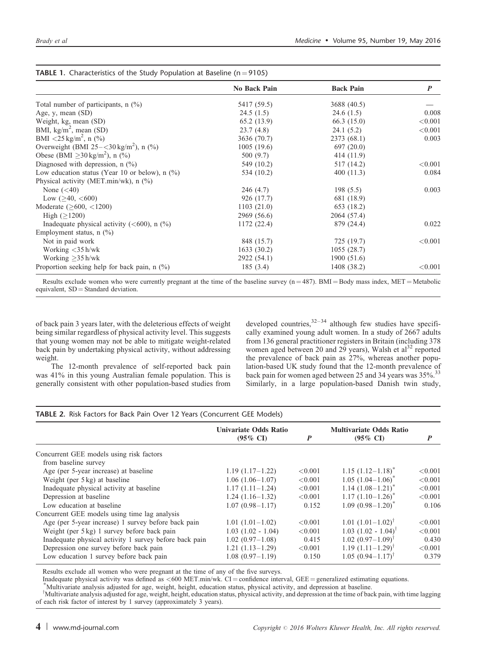|                                                           | No Back Pain | <b>Back Pain</b> | $\boldsymbol{P}$ |
|-----------------------------------------------------------|--------------|------------------|------------------|
| Total number of participants, $n$ (%)                     | 5417 (59.5)  | 3688 (40.5)      |                  |
| Age, $y$ , mean $(SD)$                                    | 24.5(1.5)    | 24.6(1.5)        | 0.008            |
| Weight, kg, mean (SD)                                     | 65.2(13.9)   | 66.3(15.0)       | < 0.001          |
| BMI, $\text{kg/m}^2$ , mean (SD)                          | 23.7(4.8)    | 24.1(5.2)        | < 0.001          |
| BMI <25 kg/m <sup>2</sup> , n $(\% )$                     | 3636 (70.7)  | 2373 (68.1)      | 0.003            |
| Overweight (BMI $25 - <30 \text{ kg/m}^2$ ), n (%)        | 1005(19.6)   | 697(20.0)        |                  |
| Obese (BMI $>30 \text{ kg/m}^2$ ), n (%)                  | 500 (9.7)    | 414 (11.9)       |                  |
| Diagnosed with depression, $n$ $\left(\frac{9}{0}\right)$ | 549 (10.2)   | 517 (14.2)       | < 0.001          |
| Low education status (Year 10 or below), $n$ (%)          | 534 (10.2)   | 400 (11.3)       | 0.084            |
| Physical activity (MET.min/wk), $n$ (%)                   |              |                  |                  |
| None $(40)$                                               | 246(4.7)     | 198(5.5)         | 0.003            |
| Low $(>40, <600)$                                         | 926 (17.7)   | 681 (18.9)       |                  |
| Moderate $($ >600, <1200)                                 | 1103(21.0)   | 653 (18.2)       |                  |
| High $(>1200)$                                            | 2969 (56.6)  | 2064 (57.4)      |                  |
| Inadequate physical activity $(<600$ ), n $(\%)$          | 1172 (22.4)  | 879 (24.4)       | 0.022            |
| Employment status, $n$ (%)                                |              |                  |                  |
| Not in paid work                                          | 848 (15.7)   | 725 (19.7)       | < 0.001          |
| Working <35 h/wk                                          | 1633(30.2)   | 1055(28.7)       |                  |
| Working $>35$ h/wk                                        | 2922 (54.1)  | 1900 (51.6)      |                  |
| Proportion seeking help for back pain, $n$ (%)            | 185(3.4)     | 1408 (38.2)      | < 0.001          |

# **TABLE 1.** Characteristics of the Study Population at Baseline (n  $=$  9105)

Results exclude women who were currently pregnant at the time of the baseline survey  $(n = 487)$ . BMI = Body mass index, MET = Metabolic equivalent,  $SD = Standard deviation$ .

of back pain 3 years later, with the deleterious effects of weight being similar regardless of physical activity level. This suggests that young women may not be able to mitigate weight-related back pain by undertaking physical activity, without addressing weight.

The 12-month prevalence of self-reported back pain was 41% in this young Australian female population. This is generally consistent with other population-based studies from developed countries,  $32-34$  although few studies have specifically examined young adult women. In a study of 2667 adults from 136 general practitioner registers in Britain (including 378 women aged between 20 and 29 years), Walsh et al<sup>32</sup> reported the prevalence of back pain as 27%, whereas another population-based UK study found that the 12-month prevalence of back pain for women aged between 25 and 34 years was 35%.<sup>33</sup> Similarly, in a large population-based Danish twin study,

| <b>TABLE 2.</b> Risk Factors for Back Pain Over 12 Years (Concurrent GEE Models) |                                                     |         |                                                       |                  |  |  |  |
|----------------------------------------------------------------------------------|-----------------------------------------------------|---------|-------------------------------------------------------|------------------|--|--|--|
|                                                                                  | <b>Univariate Odds Ratio</b><br>$(95\% \text{ CI})$ | P       | <b>Multivariate Odds Ratio</b><br>$(95\% \text{ CI})$ | $\boldsymbol{P}$ |  |  |  |
| Concurrent GEE models using risk factors                                         |                                                     |         |                                                       |                  |  |  |  |
| from baseline survey                                                             |                                                     |         |                                                       |                  |  |  |  |
| Age (per 5-year increase) at baseline                                            | $1.19(1.17-1.22)$                                   | < 0.001 | $1.15$ $(1.12-1.18)^{*}$                              | < 0.001          |  |  |  |
| Weight (per 5 kg) at baseline                                                    | $1.06(1.06-1.07)$                                   | < 0.001 | $1.05$ $(1.04-1.06)^{*}$                              | < 0.001          |  |  |  |
| Inadequate physical activity at baseline                                         | $1.17(1.11-1.24)$                                   | < 0.001 | $1.14$ $(1.08-1.21)^{*}$                              | < 0.001          |  |  |  |
| Depression at baseline                                                           | $1.24(1.16-1.32)$                                   | < 0.001 | $1.17 (1.10 - 1.26)^{*}$                              | < 0.001          |  |  |  |
| Low education at baseline                                                        | $1.07(0.98-1.17)$                                   | 0.152   | $1.09(0.98-1.20)^{*}$                                 | 0.106            |  |  |  |
| Concurrent GEE models using time lag analysis                                    |                                                     |         |                                                       |                  |  |  |  |
| Age (per 5-year increase) 1 survey before back pain                              | $1.01(1.01-1.02)$                                   | < 0.001 | $1.01 (1.01 - 1.02)^{\dagger}$                        | < 0.001          |  |  |  |
| Weight (per 5 kg) 1 survey before back pain                                      | $1.03(1.02 - 1.04)$                                 | < 0.001 | $1.03$ $(1.02 - 1.04)^{\dagger}$                      | < 0.001          |  |  |  |
| Inadequate physical activity 1 survey before back pain                           | $1.02(0.97-1.08)$                                   | 0.415   | $1.02 (0.97 - 1.09)^{\dagger}$                        | 0.430            |  |  |  |
| Depression one survey before back pain                                           | $1.21(1.13-1.29)$                                   | < 0.001 | $1.19(1.11-1.29)^{t}$                                 | < 0.001          |  |  |  |
| Low education 1 survey before back pain                                          | $1.08(0.97-1.19)$                                   | 0.150   | $1.05(0.94 - 1.17)^{t}$                               | 0.379            |  |  |  |

TABLE 2. Risk Factors for Back Pain Over 12 Years (Concurrent GEE Models)

Results exclude all women who were pregnant at the time of any of the five surveys.

Inadequate physical activity was defined as  $<600$  MET.min/wk. CI = confidence interval, GEE = generalized estimating equations.

Multivariate analysis adjusted for age, weight, height, education status, physical activity, and depression at baseline.

<sup>†</sup>Multivariate analysis adjusted for age, weight, height, education status, physical activity, and depression at the time of back pain, with time lagging of each risk factor of interest by 1 survey (approximately 3 years).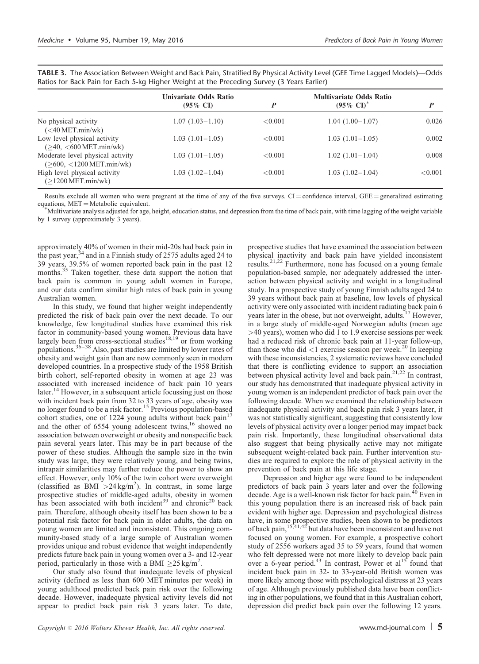|                                                                 | <b>Univariate Odds Ratio</b><br>$(95\% \text{ CI})$ |            | <b>Multivariate Odds Ratio</b><br>$(95\% \text{ CI})^*$ | P          |  |  |
|-----------------------------------------------------------------|-----------------------------------------------------|------------|---------------------------------------------------------|------------|--|--|
| No physical activity<br>$(<$ 40 MET.min/wk)                     | $1.07(1.03-1.10)$                                   | ${<}0.001$ | $1.04(1.00-1.07)$                                       | 0.026      |  |  |
| Low level physical activity<br>$($ >40, $<$ 600 MET.min/wk)     | $1.03(1.01-1.05)$                                   | ${<}0.001$ | $1.03(1.01-1.05)$                                       | 0.002      |  |  |
| Moderate level physical activity<br>$($ >600, <1200 MET.min/wk) | $1.03(1.01-1.05)$                                   | ${<}0.001$ | $1.02(1.01-1.04)$                                       | 0.008      |  |  |
| High level physical activity<br>$(>1200 \text{ MET,min/wk})$    | $1.03(1.02-1.04)$                                   | ${<}0.001$ | $1.03(1.02 - 1.04)$                                     | ${<}0.001$ |  |  |

TABLE 3. The Association Between Weight and Back Pain, Stratified By Physical Activity Level (GEE Time Lagged Models)—Odds Ratios for Back Pain for Each 5-kg Higher Weight at the Preceding Survey (3 Years Earlier)

Results exclude all women who were pregnant at the time of any of the five surveys.  $CI =$  confidence interval,  $GEE =$  generalized estimating equations,  $MET = Metabolic equivalent$ .

Multivariate analysis adjusted for age, height, education status, and depression from the time of back pain, with time lagging of the weight variable by 1 survey (approximately 3 years).

approximately 40% of women in their mid-20s had back pain in the past year,<sup>34</sup> and in a Finnish study of 2575 adults aged 24 to 39 years, 39.5% of women reported back pain in the past 12 months.<sup>35</sup> Taken together, these data support the notion that back pain is common in young adult women in Europe, and our data confirm similar high rates of back pain in young Australian women.

In this study, we found that higher weight independently predicted the risk of back pain over the next decade. To our knowledge, few longitudinal studies have examined this risk factor in community-based young women. Previous data have largely been from cross-sectional studies<sup>18,19</sup> or from working populations.<sup>36–38</sup> Also, past studies are limited by lower rates of obesity and weight gain than are now commonly seen in modern developed countries. In a prospective study of the 1958 British birth cohort, self-reported obesity in women at age 23 was associated with increased incidence of back pain 10 years later.<sup>14</sup> However, in a subsequent article focussing just on those with incident back pain from 32 to 33 years of age, obesity was no longer found to be a risk factor.<sup>15</sup> Previous population-based cohort studies, one of 1224 young adults without back  $pain<sup>17</sup>$ and the other of 6554 young adolescent twins,<sup>16</sup> showed no association between overweight or obesity and nonspecific back pain several years later. This may be in part because of the power of these studies. Although the sample size in the twin study was large, they were relatively young, and being twins, intrapair similarities may further reduce the power to show an effect. However, only 10% of the twin cohort were overweight (classified as  $\overline{BMI} > 24 \text{ kg/m}^2$ ). In contrast, in some large prospective studies of middle-aged adults, obesity in women has been associated with both incident<sup>39</sup> and chronic<sup>20</sup> back pain. Therefore, although obesity itself has been shown to be a potential risk factor for back pain in older adults, the data on young women are limited and inconsistent. This ongoing community-based study of a large sample of Australian women provides unique and robust evidence that weight independently predicts future back pain in young women over a 3- and 12-year period, particularly in those with a BMI  $\geq$ 25 kg/m<sup>2</sup>.

Our study also found that inadequate levels of physical activity (defined as less than 600 MET minutes per week) in young adulthood predicted back pain risk over the following decade. However, inadequate physical activity levels did not appear to predict back pain risk 3 years later. To date,

prospective studies that have examined the association between physical inactivity and back pain have yielded inconsistent results.21,22 Furthermore, none has focused on a young female population-based sample, nor adequately addressed the interaction between physical activity and weight in a longitudinal study. In a prospective study of young Finnish adults aged 24 to 39 years without back pain at baseline, low levels of physical activity were only associated with incident radiating back pain 6 years later in the obese, but not overweight, adults.<sup>17</sup> However, in a large study of middle-aged Norwegian adults (mean age >40 years), women who did 1 to 1.9 exercise sessions per week had a reduced risk of chronic back pain at 11-year follow-up, than those who did  $\lt 1$  exercise session per week.<sup>20</sup> In keeping with these inconsistencies, 2 systematic reviews have concluded that there is conflicting evidence to support an association between physical activity level and back pain.21,22 In contrast, our study has demonstrated that inadequate physical activity in young women is an independent predictor of back pain over the following decade. When we examined the relationship between inadequate physical activity and back pain risk 3 years later, it was not statistically significant, suggesting that consistently low levels of physical activity over a longer period may impact back pain risk. Importantly, these longitudinal observational data also suggest that being physically active may not mitigate subsequent weight-related back pain. Further intervention studies are required to explore the role of physical activity in the prevention of back pain at this life stage.

Depression and higher age were found to be independent predictors of back pain 3 years later and over the following decade. Age is a well-known risk factor for back pain.<sup>40</sup> Even in this young population there is an increased risk of back pain evident with higher age. Depression and psychological distress have, in some prospective studies, been shown to be predictors of back pain,<sup>15,41,42</sup> but data have been inconsistent and have not focused on young women. For example, a prospective cohort study of 2556 workers aged 35 to 59 years, found that women who felt depressed were not more likely to develop back pain over a 6-year period.<sup>43</sup> In contrast, Power et al<sup>15</sup> found that incident back pain in 32- to 33-year-old British women was more likely among those with psychological distress at 23 years of age. Although previously published data have been conflicting in other populations, we found that in this Australian cohort, depression did predict back pain over the following 12 years.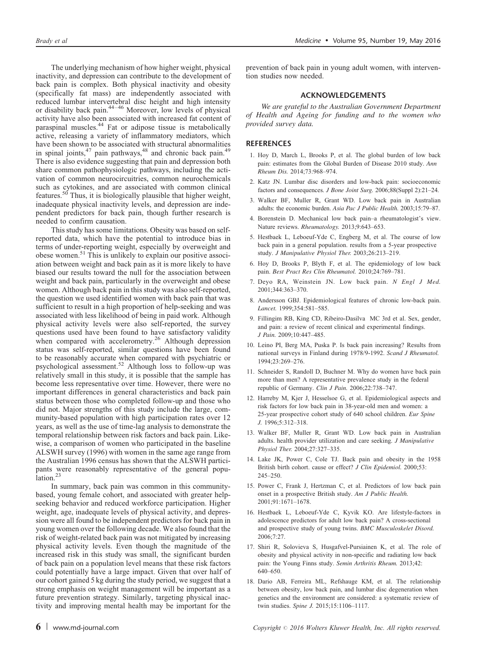The underlying mechanism of how higher weight, physical inactivity, and depression can contribute to the development of back pain is complex. Both physical inactivity and obesity (specifically fat mass) are independently associated with reduced lumbar intervertebral disc height and high intensity or disability back pain.44–46 Moreover, low levels of physical activity have also been associated with increased fat content of paraspinal muscles.<sup>44</sup> Fat or adipose tissue is metabolically active, releasing a variety of inflammatory mediators, which have been shown to be associated with structural abnormalities in spinal joints, $47$  pain pathways, $48$  and chronic back pain. $49$ There is also evidence suggesting that pain and depression both share common pathophysiologic pathways, including the activation of common neurocircuitries, common neurochemicals such as cytokines, and are associated with common clinical features.<sup>50</sup> Thus, it is biologically plausible that higher weight, inadequate physical inactivity levels, and depression are independent predictors for back pain, though further research is needed to confirm causation.

This study has some limitations. Obesity was based on selfreported data, which have the potential to introduce bias in terms of under-reporting weight, especially by overweight and obese women.<sup>51</sup> This is unlikely to explain our positive association between weight and back pain as it is more likely to have biased our results toward the null for the association between weight and back pain, particularly in the overweight and obese women. Although back pain in this study was also self-reported, the question we used identified women with back pain that was sufficient to result in a high proportion of help-seeking and was associated with less likelihood of being in paid work. Although physical activity levels were also self-reported, the survey questions used have been found to have satisfactory validity when compared with accelerometry.<sup>26</sup> Although depression status was self-reported, similar questions have been found to be reasonably accurate when compared with psychiatric or psychological assessment.<sup>52</sup> Although loss to follow-up was relatively small in this study, it is possible that the sample has become less representative over time. However, there were no important differences in general characteristics and back pain status between those who completed follow-up and those who did not. Major strengths of this study include the large, community-based population with high participation rates over 12 years, as well as the use of time-lag analysis to demonstrate the temporal relationship between risk factors and back pain. Likewise, a comparison of women who participated in the baseline ALSWH survey (1996) with women in the same age range from the Australian 1996 census has shown that the ALSWH participants were reasonably representative of the general population.<sup>23</sup>

In summary, back pain was common in this communitybased, young female cohort, and associated with greater helpseeking behavior and reduced workforce participation. Higher weight, age, inadequate levels of physical activity, and depression were all found to be independent predictors for back pain in young women over the following decade. We also found that the risk of weight-related back pain was not mitigated by increasing physical activity levels. Even though the magnitude of the increased risk in this study was small, the significant burden of back pain on a population level means that these risk factors could potentially have a large impact. Given that over half of our cohort gained 5 kg during the study period, we suggest that a strong emphasis on weight management will be important as a future prevention strategy. Similarly, targeting physical inactivity and improving mental health may be important for the prevention of back pain in young adult women, with intervention studies now needed.

# ACKNOWLEDGEMENTS

We are grateful to the Australian Government Department of Health and Ageing for funding and to the women who provided survey data.

#### **REFERENCES**

- 1. Hoy D, March L, Brooks P, et al. The global burden of low back pain: estimates from the Global Burden of Disease 2010 study. Ann Rheum Dis. 2014;73:968–974.
- 2. Katz JN. Lumbar disc disorders and low-back pain: socioeconomic factors and consequences. J Bone Joint Surg. 2006;88(Suppl 2):21-24.
- 3. Walker BF, Muller R, Grant WD. Low back pain in Australian adults: the economic burden. Asia Pac J Public Health. 2003;15:79–87.
- 4. Borenstein D. Mechanical low back pain–a rheumatologist's view. Nature reviews. Rheumatology. 2013;9:643–653.
- 5. Hestbaek L, Leboeuf-Yde C, Engberg M, et al. The course of low back pain in a general population. results from a 5-year prospective study. J Manipulative Physiol Ther. 2003;26:213–219.
- 6. Hoy D, Brooks P, Blyth F, et al. The epidemiology of low back pain. Best Pract Res Clin Rheumatol. 2010;24:769–781.
- 7. Deyo RA, Weinstein JN. Low back pain. N Engl J Med. 2001;344:363–370.
- 8. Andersson GBJ. Epidemiological features of chronic low-back pain. Lancet. 1999;354:581–585.
- 9. Fillingim RB, King CD, Ribeiro-Dasilva MC 3rd et al. Sex, gender, and pain: a review of recent clinical and experimental findings. J Pain. 2009;10:447–485.
- 10. Leino PI, Berg MA, Puska P. Is back pain increasing? Results from national surveys in Finland during 1978/9-1992. Scand J Rheumatol. 1994;23:269–276.
- 11. Schneider S, Randoll D, Buchner M. Why do women have back pain more than men? A representative prevalence study in the federal republic of Germany. Clin J Pain. 2006;22:738–747.
- 12. Harreby M, Kjer J, Hesselsoe G, et al. Epidemiological aspects and risk factors for low back pain in 38-year-old men and women: a 25-year prospective cohort study of 640 school children. Eur Spine J. 1996;5:312–318.
- 13. Walker BF, Muller R, Grant WD. Low back pain in Australian adults. health provider utilization and care seeking. J Manipulative Physiol Ther. 2004;27:327–335.
- 14. Lake JK, Power C, Cole TJ. Back pain and obesity in the 1958 British birth cohort. cause or effect? J Clin Epidemiol. 2000;53: 245–250.
- 15. Power C, Frank J, Hertzman C, et al. Predictors of low back pain onset in a prospective British study. Am J Public Health. 2001;91:1671–1678.
- 16. Hestbaek L, Leboeuf-Yde C, Kyvik KO. Are lifestyle-factors in adolescence predictors for adult low back pain? A cross-sectional and prospective study of young twins. BMC Musculoskelet Disord. 2006;7:27.
- 17. Shiri R, Solovieva S, Husgafvel-Pursiainen K, et al. The role of obesity and physical activity in non-specific and radiating low back pain: the Young Finns study. Semin Arthritis Rheum. 2013;42: 640–650.
- 18. Dario AB, Ferreira ML, Refshauge KM, et al. The relationship between obesity, low back pain, and lumbar disc degeneration when genetics and the environment are considered: a systematic review of twin studies. Spine J. 2015;15:1106–1117.